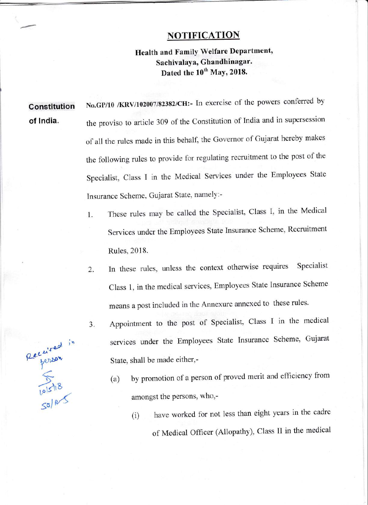## **NOTIFICATION**

## Health and Family Welfare Department, Sachivalaya, Ghandhinagar. Dated the 10<sup>th</sup> May, 2018.

Constitution of lndia. No.GP/10 /KRV/102007/82382/CH:- In exercise of the powers conferred by the proviso to article 309 of the constitution of India and in supersession of all the rules made in this behalf, the Governor of Gujarat hereby makes the following rules to provide for regulating recruitment to the post of the Specialist, Class I in the Medical Services under the Employees State Insurance Scheme, Gujarat State, namely:-

- 1. These rules may be called the Specialist, Class I, in the Medical Services under the Employees State Insurance Scheme, Recruitment Rules,2018.
- In these rules, unless the context otherwise requires Specialist Class 1, in the medical services, Employees State Insurance Scheme means a post included in the Annexure annexed to these rules. 2.
	- Appointment to the post of Specialist, class I in the medical services under the Employees State Insurance scheme, Gujarat State, shall be made either,-
		- (a) by promotion of a person of proved merit and efficiency from amongst the persons, who,-
			- (i) have worked for not less than eight years in the cadre of Medical Officer (Allopathy), Class II in the medical

Recursed in  $\frac{1}{10|5|18}$  $50^{6}$ 

a J.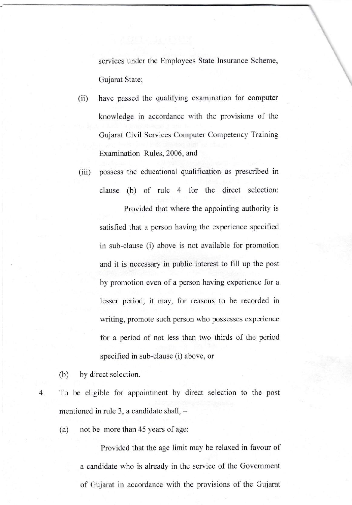services under the Employees State Insurance Scheme, Gujarat State:

- have passed the qualifying examination for computer knowledge in accordance with the provisions of the Gujarat Civil Services Computer Competency Training Examination Rules, 2006, and (ii)
- (iii) possess the educational qualification as prescribed in clause (b) of rule 4 for the direct selection: Provided that where the appointing authority is satisfied that a person having the experience specified in sub-clause (i) above is not avaiiabie for promotion and it is necessary in public interest to fill up the post by promotion even of a person having experience for <sup>a</sup> lesser period; it may, for reasons to be recorded in writing, promote such person who possesses experience for a period of not less than two thirds of the period specified in sub-clause (i) above, or

(b) by direct selection.

4. To be eligible for appointment by direct selection to the post mentioned in rule 3, a candidate shall,  $-$ 

(a) not be more than 45 years of age:

Provided that the age limit may be relaxed in favour of a candidate who is already in the service of the Government of Gujarat in accordance with the provisions of the Gujarat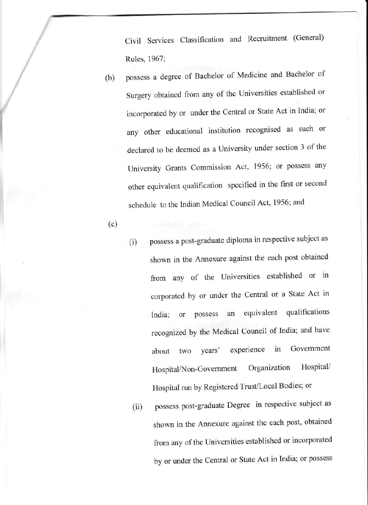civil Services classification and Recruitment (General) Rules, 1967;

- (b) possess a degree of Bachelor of Medicine and Bachelor of Surgery obtained from any of the Universities established or incorporated by or under the central or State Act in India; or any other educational institution recognised as such or declared to be deemed as a University under section 3 of the University Grants Commission Act, 1956; or possess any other equivalent qualification specified in the first or second schedule to the Indian Medical Council Act, 1956; and
- (c)
- possess a post-graduate diploma in respective subject as shown in the Annexure against the each post obtained from any of the Universities established or in corporated by or under the Central or a State Act in India; or possess an equivalent qualifications recognized by the Medical Council of India; and have about two years' experience in Government Hospital/Non-Government Organization Hospital/ Hospital run by Registered Trust/Local Bodies; or (i)
- possess post-graduate Degree in respective subject as shown in the Annexure against the each post, obtained from any of the Universities established or incorporated by or under the Central or State Act in India; or possess (ii)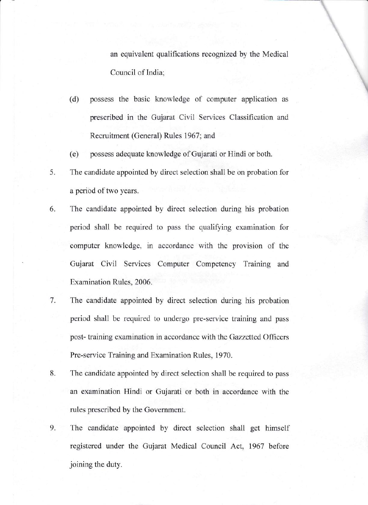an equivalent qualifications recognized by the Medical Council of India:

- possess the basic knowledge of computer application as prescribed in the Gujarat Civil Services Classification and Recruitment (General) Rules 1967; and (d)
- (e) possess adequate knowledge of Gujarati or Hindi or both.
- 5. The candidate appointed by direct selection shall be on probation for a period of two years.
- 6. The candidate appointed by direct selection during his probation period shall be required to pass the qualiffing examination for computer knowledge, in accordance with the provision of the Gujarat Civil Services Computer Competency Training and Examination Rules, 2006.
- The candidate appointed by direct selection during his probation period shall be required to undergo pre-service training and pass post- training examination in accordance with the Gazzetted Offlcers Pre-service Training and Examination Rules. 1970. 7.
- The candidate appointed by direct selection shall be required to pass an examination Hindi or Gujarati or both in accordance with the rules prescribed by the Government. 8.
- 9. The candidate appointed by direct selection shall get himself registered under the Gujarat Medical Council Act, 1967 before joining the duty.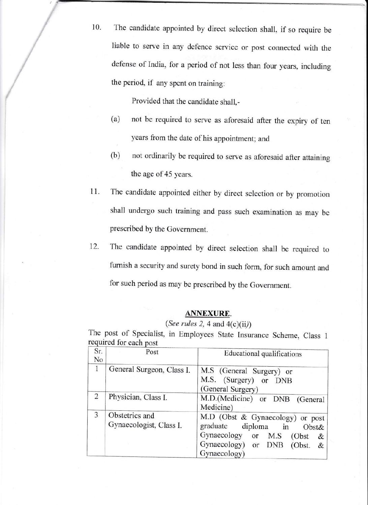10. The candidate appointed by direct selection shall, if so require be liable to serve in any defence service or post connected with the defense of India, for a period of not less than four years, including the period, if any spent on training:

Provided that the candidate shall,-

- (a) not be required to serve as aforesaid after the expiry of ten years from the date of his appointment; and
- (b) not ordinarily be required to serve as aforesaid after attaining the age of 45 years.
- The candidate appointed either by direct selection or by promotion shall undergo such training and pass such examination as may be prescribed by the Government. 11.
- The candidate appointed by direct selection shall be required to furnish a security and surety bond in such form, for such amount and for such period as may be prescribed by the Government. 12.

## ANNEXURE.

## (See rules 2, 4 and  $4(c)(ii)$ )

The post of Specialist, in Employees State Insurance Scheme, Class <sup>1</sup> required for each

| Sr.<br>No      | Post                                      | Educational qualifications                                                                                                                                        |
|----------------|-------------------------------------------|-------------------------------------------------------------------------------------------------------------------------------------------------------------------|
| 1              | General Surgeon, Class I.                 | M.S (General Surgery) or<br>M.S. (Surgery) or DNB<br>(General Surgery)                                                                                            |
| $\overline{2}$ | Physician, Class I.                       | M.D.(Medicine) or DNB (General<br>Medicine)                                                                                                                       |
| 3              | Obstetrics and<br>Gynaecologist, Class I. | M.D (Obst & Gynaecology) or post<br>graduate diploma in<br>Obst&<br>Gynaecology or<br>M.S<br>(Obst)<br>&<br>Gynaecology) or<br>DNB<br>(Obst.<br>&<br>Gynaecology) |